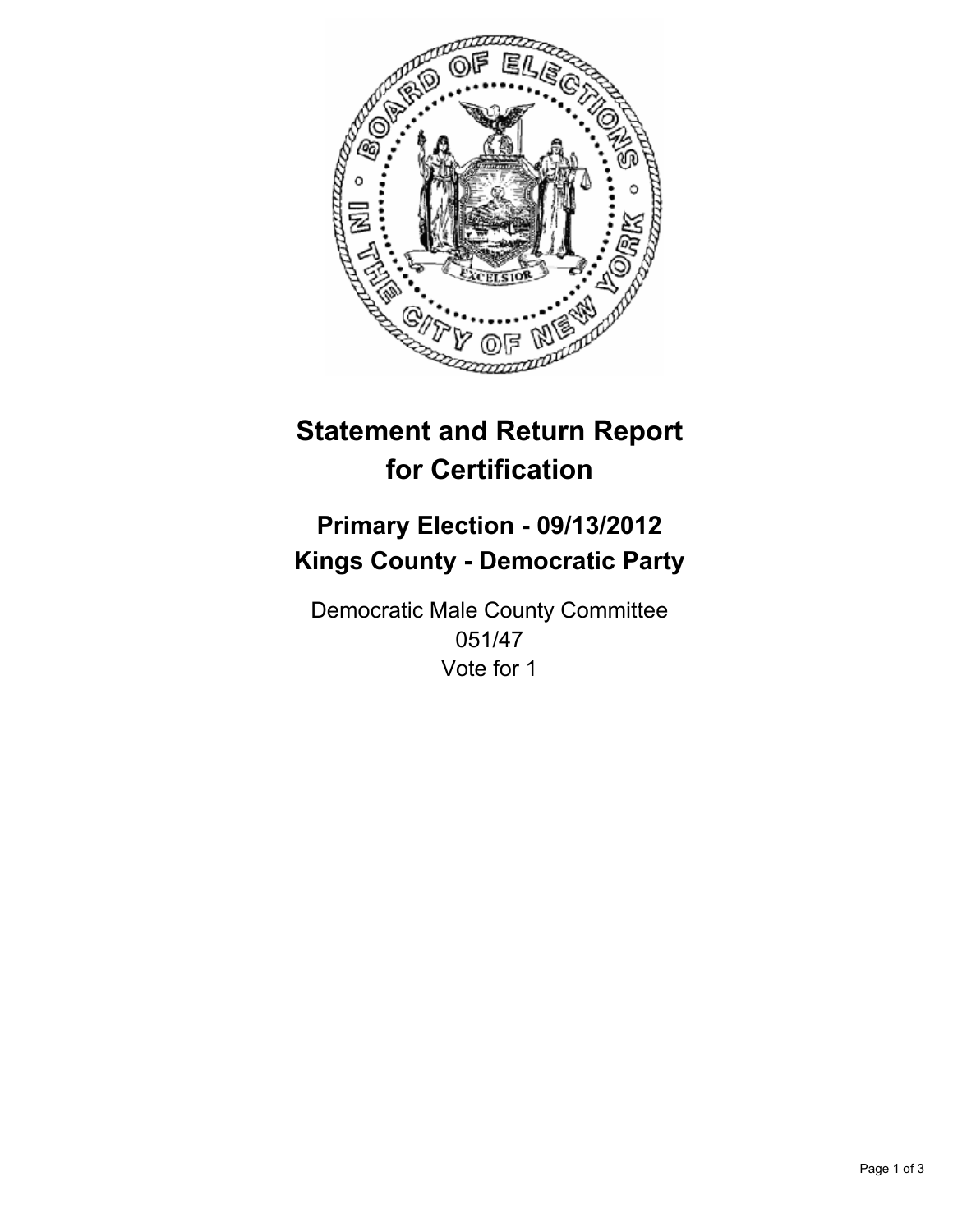

# **Statement and Return Report for Certification**

## **Primary Election - 09/13/2012 Kings County - Democratic Party**

Democratic Male County Committee 051/47 Vote for 1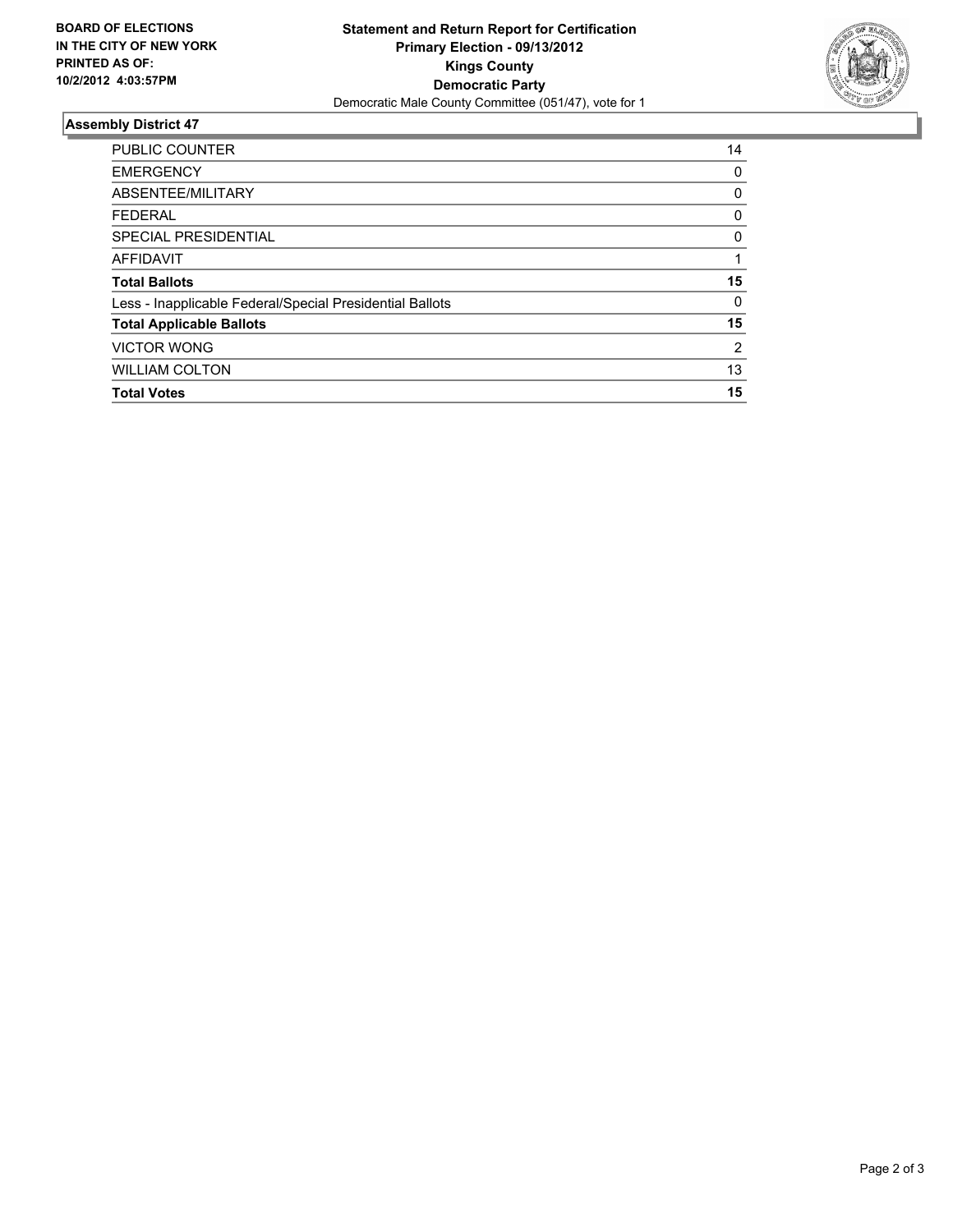

### **Assembly District 47**

| <b>PUBLIC COUNTER</b>                                    | 14             |
|----------------------------------------------------------|----------------|
| <b>EMERGENCY</b>                                         | 0              |
| ABSENTEE/MILITARY                                        | 0              |
| <b>FEDERAL</b>                                           | 0              |
| SPECIAL PRESIDENTIAL                                     | 0              |
| <b>AFFIDAVIT</b>                                         |                |
| <b>Total Ballots</b>                                     | 15             |
| Less - Inapplicable Federal/Special Presidential Ballots | $\Omega$       |
| <b>Total Applicable Ballots</b>                          | 15             |
| <b>VICTOR WONG</b>                                       | $\overline{2}$ |
| <b>WILLIAM COLTON</b>                                    | 13             |
|                                                          |                |